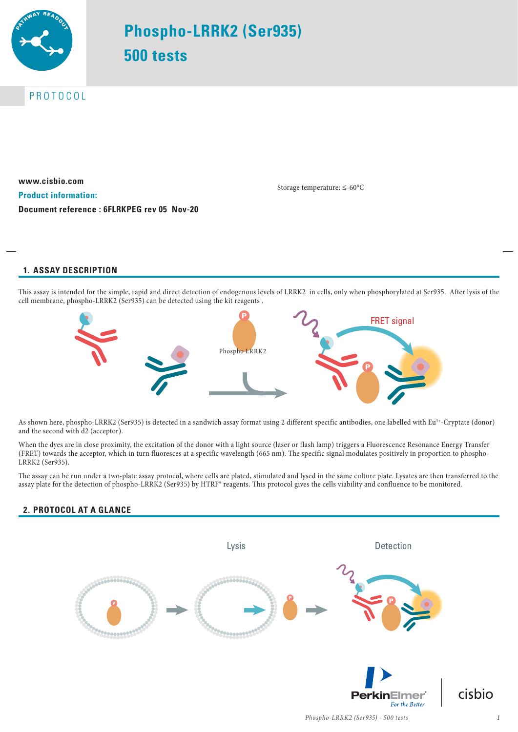

# **Phospho-LRRK2 (Ser935) 500 tests**

PROTOCOL

**www.cisbio.com Product information: Document reference : 6FLRKPEG rev 05 Nov-20**

Storage temperature: ≤-60°C

# **1. ASSAY DESCRIPTION**

This assay is intended for the simple, rapid and direct detection of endogenous levels of LRRK2 in cells, only when phosphorylated at Ser935. After lysis of the cell membrane, phospho-LRRK2 (Ser935) can be detected using the kit reagents .



As shown here, phospho-LRRK2 (Ser935) is detected in a sandwich assay format using 2 different specific antibodies, one labelled with Eu<sup>3+</sup>-Cryptate (donor) and the second with d2 (acceptor).

When the dyes are in close proximity, the excitation of the donor with a light source (laser or flash lamp) triggers a Fluorescence Resonance Energy Transfer (FRET) towards the acceptor, which in turn fluoresces at a specific wavelength (665 nm). The specific signal modulates positively in proportion to phospho-LRRK2 (Ser935).

The assay can be run under a two-plate assay protocol, where cells are plated, stimulated and lysed in the same culture plate. Lysates are then transferred to the assay plate for the detection of phospho-LRRK2 (Ser935) by HTRF® reagents. This protocol gives the cells viability and confluence to be monitored.

# **2. PROTOCOL AT A GLANCE**

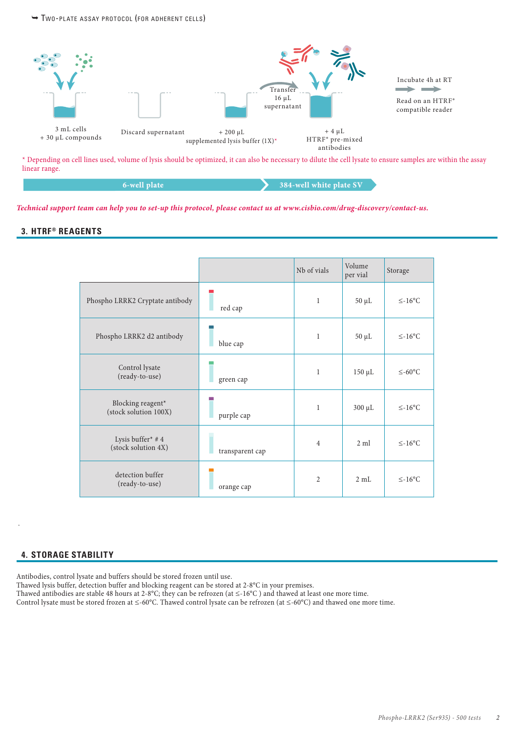¬ Two-pl ate assay protocol (for adherent cells)



\* Depending on cell lines used, volume of lysis should be optimized, it can also be necessary to dilute the cell lysate to ensure samples are within the assay linear range.

#### **6-well plate 384-well white plate SV**

*Technical support team can help you to set-up this protocol, please contact us at www.cisbio.com/drug-discovery/contact-us.*

### **3. HTRF® REAGENTS**

|                                            |                 | Nb of vials    | Volume<br>per vial | Storage             |
|--------------------------------------------|-----------------|----------------|--------------------|---------------------|
| Phospho LRRK2 Cryptate antibody            | red cap         | 1              | $50 \mu L$         | $\leq -16^{\circ}C$ |
| Phospho LRRK2 d2 antibody                  | blue cap        | $\mathbf{1}$   | $50 \mu L$         | $\leq$ -16°C        |
| Control lysate<br>(ready-to-use)           | green cap       | $\mathbf{1}$   | 150 µL             | $≤-60$ °C           |
| Blocking reagent*<br>(stock solution 100X) | purple cap      | $\mathbf{1}$   | $300 \mu L$        | $\leq$ -16°C        |
| Lysis buffer* #4<br>(stock solution 4X)    | transparent cap | $\overline{4}$ | $2 \text{ ml}$     | $\leq$ -16°C        |
| detection buffer<br>(ready-to-use)         | orange cap      | $\overline{2}$ | $2 \text{ mL}$     | $\leq -16^{\circ}C$ |

#### **4. STORAGE STABILITY**

.

Antibodies, control lysate and buffers should be stored frozen until use.

Thawed lysis buffer, detection buffer and blocking reagent can be stored at 2-8°C in your premises.

Thawed antibodies are stable 48 hours at 2-8°C; they can be refrozen (at ≤-16°C ) and thawed at least one more time.

Control lysate must be stored frozen at ≤-60°C. Thawed control lysate can be refrozen (at ≤-60°C) and thawed one more time.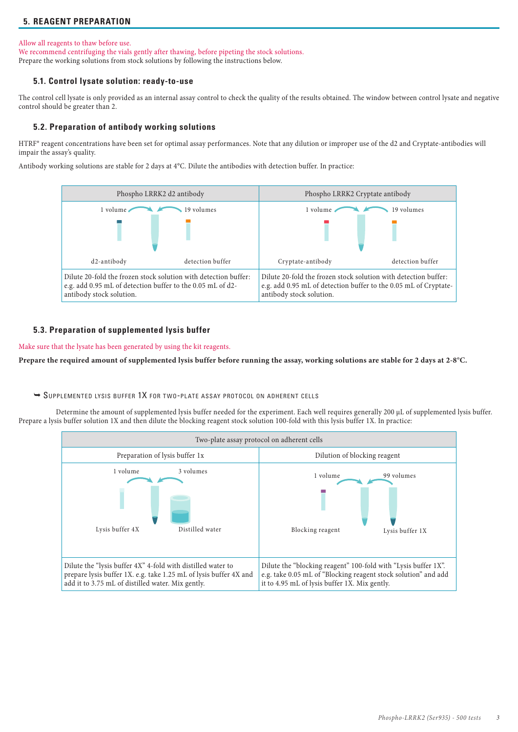# **5. REAGENT PREPARATION**

#### Allow all reagents to thaw before use.

We recommend centrifuging the vials gently after thawing, before pipeting the stock solutions. Prepare the working solutions from stock solutions by following the instructions below.

#### **5.1. Control lysate solution: ready-to-use**

The control cell lysate is only provided as an internal assay control to check the quality of the results obtained. The window between control lysate and negative control should be greater than 2.

#### **5.2. Preparation of antibody working solutions**

HTRF® reagent concentrations have been set for optimal assay performances. Note that any dilution or improper use of the d2 and Cryptate-antibodies will impair the assay's quality.

Antibody working solutions are stable for 2 days at 4°C. Dilute the antibodies with detection buffer. In practice:



#### **5.3. Preparation of supplemented lysis buffer**

Make sure that the lysate has been generated by using the kit reagents.

**Prepare the required amount of supplemented lysis buffer before running the assay, working solutions are stable for 2 days at 2-8°C.**

¬ Supplemented lysis buffer 1X for two-pl ate assay protocol on adherent cells

Determine the amount of supplemented lysis buffer needed for the experiment. Each well requires generally 200 µL of supplemented lysis buffer. Prepare a lysis buffer solution 1X and then dilute the blocking reagent stock solution 100-fold with this lysis buffer 1X. In practice:

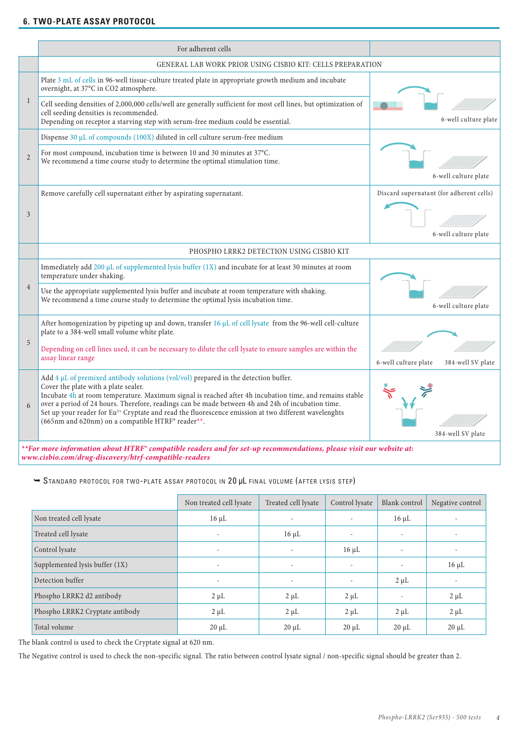## **6. TWO-PLATE ASSAY PROTOCOL**

|                | For adherent cells                                                                                                                                                                                                                                                                                                                                                                                                                                                                                                        |                                                                  |  |
|----------------|---------------------------------------------------------------------------------------------------------------------------------------------------------------------------------------------------------------------------------------------------------------------------------------------------------------------------------------------------------------------------------------------------------------------------------------------------------------------------------------------------------------------------|------------------------------------------------------------------|--|
|                | GENERAL LAB WORK PRIOR USING CISBIO KIT: CELLS PREPARATION                                                                                                                                                                                                                                                                                                                                                                                                                                                                |                                                                  |  |
| $\mathbf{1}$   | Plate 3 mL of cells in 96-well tissue-culture treated plate in appropriate growth medium and incubate<br>overnight, at 37°C in CO2 atmosphere.                                                                                                                                                                                                                                                                                                                                                                            |                                                                  |  |
|                | Cell seeding densities of 2,000,000 cells/well are generally sufficient for most cell lines, but optimization of<br>cell seeding densities is recommended.<br>Depending on receptor a starving step with serum-free medium could be essential.                                                                                                                                                                                                                                                                            | 6-well culture plate                                             |  |
|                | Dispense 30 µL of compounds (100X) diluted in cell culture serum-free medium                                                                                                                                                                                                                                                                                                                                                                                                                                              |                                                                  |  |
| $\overline{2}$ | For most compound, incubation time is between 10 and 30 minutes at 37°C.<br>We recommend a time course study to determine the optimal stimulation time.                                                                                                                                                                                                                                                                                                                                                                   | 6-well culture plate                                             |  |
| 3              | Remove carefully cell supernatant either by aspirating supernatant.                                                                                                                                                                                                                                                                                                                                                                                                                                                       | Discard supernatant (for adherent cells)<br>6-well culture plate |  |
|                | PHOSPHO LRRK2 DETECTION USING CISBIO KIT                                                                                                                                                                                                                                                                                                                                                                                                                                                                                  |                                                                  |  |
| $\overline{4}$ | Immediately add 200 µL of supplemented lysis buffer (1X) and incubate for at least 30 minutes at room<br>temperature under shaking.                                                                                                                                                                                                                                                                                                                                                                                       |                                                                  |  |
|                | Use the appropriate supplemented lysis buffer and incubate at room temperature with shaking.<br>We recommend a time course study to determine the optimal lysis incubation time.                                                                                                                                                                                                                                                                                                                                          | 6-well culture plate                                             |  |
|                | After homogenization by pipeting up and down, transfer 16 $\mu$ L of cell lysate from the 96-well cell-culture<br>plate to a 384-well small volume white plate.                                                                                                                                                                                                                                                                                                                                                           |                                                                  |  |
| 5              | Depending on cell lines used, it can be necessary to dilute the cell lysate to ensure samples are within the<br>assay linear range                                                                                                                                                                                                                                                                                                                                                                                        | 6-well culture plate<br>384-well SV plate                        |  |
| 6              | Add $4 \mu$ L of premixed antibody solutions (vol/vol) prepared in the detection buffer.<br>Cover the plate with a plate sealer.<br>Incubate 4h at room temperature. Maximum signal is reached after 4h incubation time, and remains stable<br>over a period of 24 hours. Therefore, readings can be made between 4h and 24h of incubation time.<br>Set up your reader for Eu <sup>3+</sup> Cryptate and read the fluorescence emission at two different wavelenghts<br>(665nm and 620nm) on a compatible HTRF® reader**. | 384-well SV plate                                                |  |
|                | ** For more information about HTRF° compatible readers and for set-up recommendations, please visit our website at:                                                                                                                                                                                                                                                                                                                                                                                                       |                                                                  |  |

*www.cisbio.com/drug-discovery/htrf-compatible-readers*

## $\rightarrow$  STANDARD PROTOCOL FOR TWO-PLATE ASSAY PROTOCOL IN 20 µL FINAL VOLUME (AFTER LYSIS STEP)

|                                 | Non treated cell lysate  | Treated cell lysate      | Control lysate           | Blank control            | Negative control |
|---------------------------------|--------------------------|--------------------------|--------------------------|--------------------------|------------------|
| Non treated cell lysate         | $16 \mu L$               | $\overline{\phantom{a}}$ | $\overline{\phantom{m}}$ | $16 \mu L$               |                  |
| Treated cell lysate             |                          | $16 \mu L$               | $\overline{\phantom{a}}$ | $\overline{\phantom{a}}$ |                  |
| Control lysate                  | $\overline{\phantom{a}}$ | $\overline{\phantom{a}}$ | $16 \mu L$               | $\overline{\phantom{0}}$ |                  |
| Supplemented lysis buffer (1X)  | $\overline{\phantom{a}}$ | $\overline{\phantom{a}}$ | $\overline{\phantom{a}}$ | $\overline{\phantom{0}}$ | $16 \mu L$       |
| Detection buffer                |                          | ۰                        | $\overline{\phantom{a}}$ | $2 \mu L$                |                  |
| Phospho LRRK2 d2 antibody       | $2 \mu L$                | $2 \mu L$                | $2 \mu L$                |                          | $2 \mu L$        |
| Phospho LRRK2 Cryptate antibody | $2 \mu L$                | $2 \mu L$                | $2 \mu L$                | $2 \mu L$                | $2 \mu L$        |
| Total volume                    | $20 \mu L$               | $20 \mu L$               | $20 \mu L$               | $20 \mu L$               | $20 \mu L$       |

The blank control is used to check the Cryptate signal at 620 nm.

The Negative control is used to check the non-specific signal. The ratio between control lysate signal / non-specific signal should be greater than 2.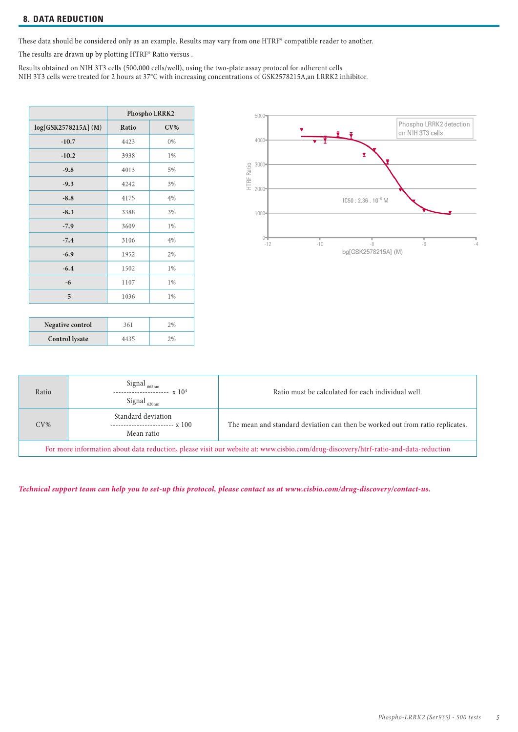These data should be considered only as an example. Results may vary from one HTRF® compatible reader to another.

The results are drawn up by plotting HTRF® Ratio versus .

Results obtained on NIH 3T3 cells (500,000 cells/well), using the two-plate assay protocol for adherent cells NIH 3T3 cells were treated for 2 hours at 37°C with increasing concentrations of GSK2578215A,an LRRK2 inhibitor.

|                       | Phospho LRRK2 |        |
|-----------------------|---------------|--------|
| log[GSK2578215A] (M)  | Ratio         | $CV\%$ |
| $-10.7$               | 4423          | 0%     |
| $-10.2$               | 3938          | 1%     |
| $-9.8$                | 4013          | 5%     |
| $-9.3$                | 4242          | 3%     |
| $-8.8$                | 4175          | 4%     |
| $-8.3$                | 3388          | 3%     |
| $-7.9$                | 3609          | 1%     |
| $-7.4$                | 3106          | 4%     |
| $-6.9$                | 1952          | 2%     |
| $-6.4$                | 1502          | 1%     |
| $-6$                  | 1107          | 1%     |
| $-5$                  | 1036          | 1%     |
|                       |               |        |
| Negative control      | 361           | 2%     |
| <b>Control lysate</b> | 4435          | 2%     |



| Ratio                                                                                                                               | Signal $_{\rm 665nm}$<br>Signal $_{\rm 620nm}$                      | Ratio must be calculated for each individual well.                            |  |
|-------------------------------------------------------------------------------------------------------------------------------------|---------------------------------------------------------------------|-------------------------------------------------------------------------------|--|
| $CV\%$                                                                                                                              | Standard deviation<br>------------------------- x 100<br>Mean ratio | The mean and standard deviation can then be worked out from ratio replicates. |  |
| For more information about data reduction, please visit our website at: www.cisbio.com/drug-discovery/htrf-ratio-and-data-reduction |                                                                     |                                                                               |  |

*Technical support team can help you to set-up this protocol, please contact us at www.cisbio.com/drug-discovery/contact-us.*